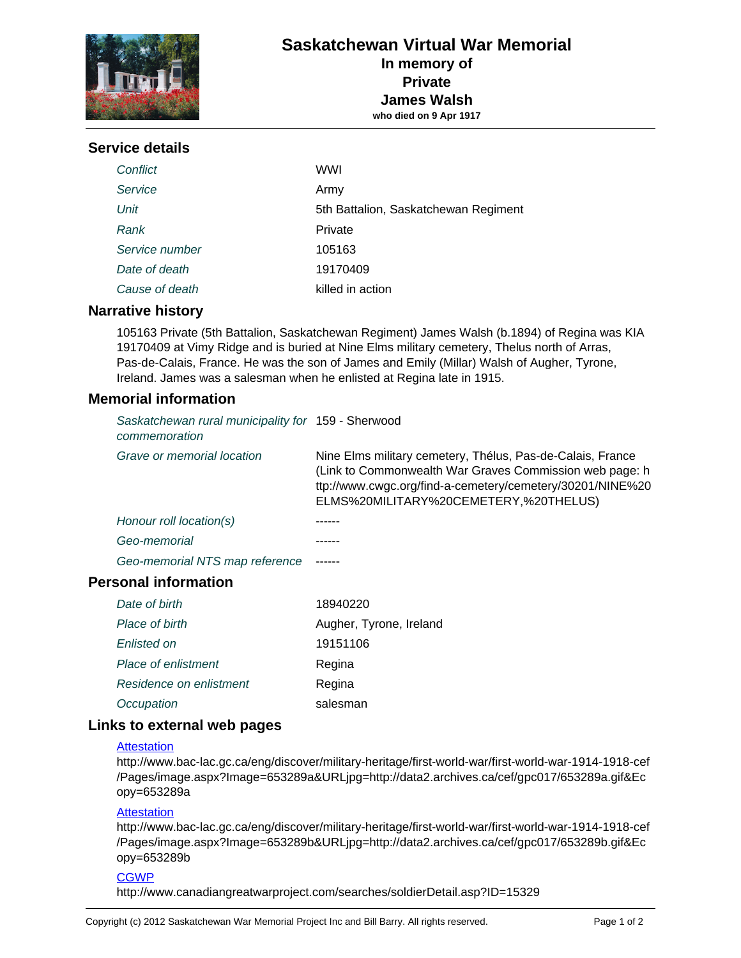

## **Service details**

| Conflict       | <b>WWI</b>                           |
|----------------|--------------------------------------|
| Service        | Army                                 |
| Unit           | 5th Battalion, Saskatchewan Regiment |
| Rank           | Private                              |
| Service number | 105163                               |
| Date of death  | 19170409                             |
| Cause of death | killed in action                     |

## **Narrative history**

105163 Private (5th Battalion, Saskatchewan Regiment) James Walsh (b.1894) of Regina was KIA 19170409 at Vimy Ridge and is buried at Nine Elms military cemetery, Thelus north of Arras, Pas-de-Calais, France. He was the son of James and Emily (Millar) Walsh of Augher, Tyrone, Ireland. James was a salesman when he enlisted at Regina late in 1915.

## **Memorial information**

| Saskatchewan rural municipality for 159 - Sherwood<br>commemoration |                                                                                                                                                                                                                             |
|---------------------------------------------------------------------|-----------------------------------------------------------------------------------------------------------------------------------------------------------------------------------------------------------------------------|
| Grave or memorial location                                          | Nine Elms military cemetery, Thélus, Pas-de-Calais, France<br>(Link to Commonwealth War Graves Commission web page: h<br>ttp://www.cwgc.org/find-a-cemetery/cemetery/30201/NINE%20<br>ELMS%20MILITARY%20CEMETERY,%20THELUS) |
| Honour roll location(s)                                             |                                                                                                                                                                                                                             |
| Geo-memorial                                                        |                                                                                                                                                                                                                             |
| Geo-memorial NTS map reference                                      |                                                                                                                                                                                                                             |
| <b>Personal information</b>                                         |                                                                                                                                                                                                                             |
| Date of birth                                                       | 18940220                                                                                                                                                                                                                    |
| Place of birth                                                      | Augher, Tyrone, Ireland                                                                                                                                                                                                     |
| Enlisted on                                                         | 19151106                                                                                                                                                                                                                    |
| Place of enlistment                                                 | Regina                                                                                                                                                                                                                      |
| Residence on enlistment                                             | Regina                                                                                                                                                                                                                      |

## **Links to external web pages**

Occupation salesman

#### **[Attestation](http://www.bac-lac.gc.ca/eng/discover/military-heritage/first-world-war/first-world-war-1914-1918-cef/Pages/image.aspx?Image=653289a&URLjpg=http://data2.archives.ca/cef/gpc017/653289a.gif&Ecopy=653289a)**

http://www.bac-lac.gc.ca/eng/discover/military-heritage/first-world-war/first-world-war-1914-1918-cef /Pages/image.aspx?Image=653289a&URLjpg=http://data2.archives.ca/cef/gpc017/653289a.gif&Ec opy=653289a

## **Attestation**

http://www.bac-lac.gc.ca/eng/discover/military-heritage/first-world-war/first-world-war-1914-1918-cef /Pages/image.aspx?Image=653289b&URLjpg=http://data2.archives.ca/cef/gpc017/653289b.gif&Ec opy=653289b

## **CGWP**

http://www.canadiangreatwarproject.com/searches/soldierDetail.asp?ID=15329